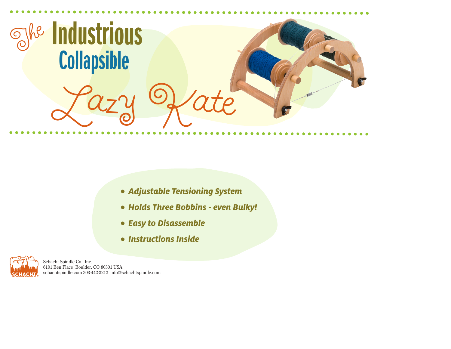

- **• Adjustable Tensioning System**
- **• Holds Three Bobbins - even Bulky!**
- **• Easy to Disassemble**
- **• Instructions Inside**



Schacht Spindle Co., Inc. 6101 Ben Place Boulder, CO 80301 USA schachtspindle.com 303-442-3212 info@schachtspindle.com